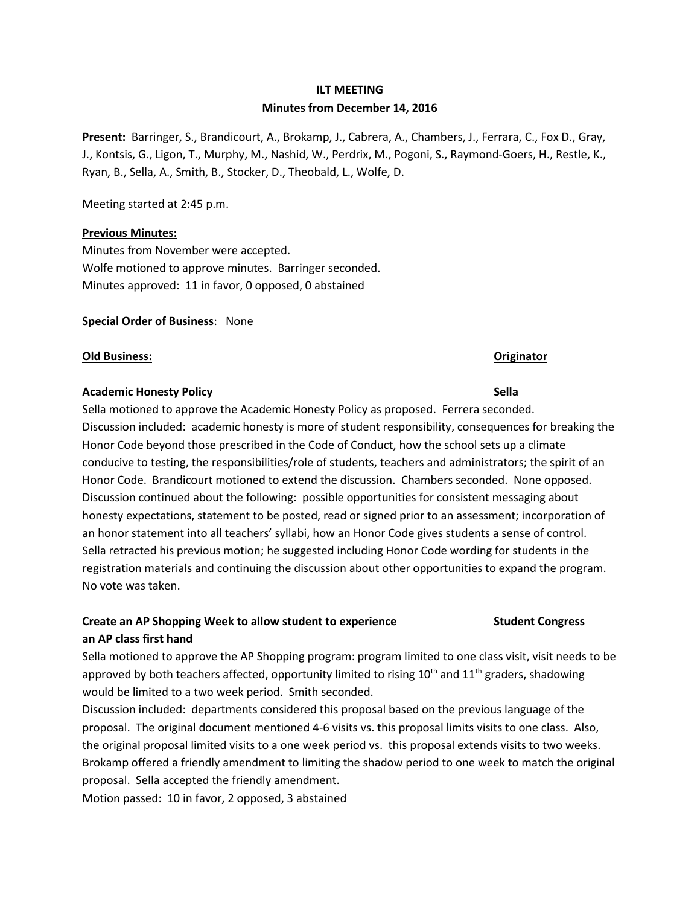## **ILT MEETING Minutes from December 14, 2016**

**Present:** Barringer, S., Brandicourt, A., Brokamp, J., Cabrera, A., Chambers, J., Ferrara, C., Fox D., Gray, J., Kontsis, G., Ligon, T., Murphy, M., Nashid, W., Perdrix, M., Pogoni, S., Raymond-Goers, H., Restle, K., Ryan, B., Sella, A., Smith, B., Stocker, D., Theobald, L., Wolfe, D.

Meeting started at 2:45 p.m.

### **Previous Minutes:**

Minutes from November were accepted. Wolfe motioned to approve minutes. Barringer seconded. Minutes approved: 11 in favor, 0 opposed, 0 abstained

### **Special Order of Business**: None

### **Old Business: Originator**

### **Academic Honesty Policy Sella**

Sella motioned to approve the Academic Honesty Policy as proposed. Ferrera seconded. Discussion included: academic honesty is more of student responsibility, consequences for breaking the Honor Code beyond those prescribed in the Code of Conduct, how the school sets up a climate conducive to testing, the responsibilities/role of students, teachers and administrators; the spirit of an Honor Code. Brandicourt motioned to extend the discussion. Chambers seconded. None opposed. Discussion continued about the following: possible opportunities for consistent messaging about honesty expectations, statement to be posted, read or signed prior to an assessment; incorporation of an honor statement into all teachers' syllabi, how an Honor Code gives students a sense of control. Sella retracted his previous motion; he suggested including Honor Code wording for students in the registration materials and continuing the discussion about other opportunities to expand the program. No vote was taken.

## **Create an AP Shopping Week to allow student to experience Student Congress an AP class first hand**

Sella motioned to approve the AP Shopping program: program limited to one class visit, visit needs to be approved by both teachers affected, opportunity limited to rising  $10^{th}$  and  $11^{th}$  graders, shadowing would be limited to a two week period. Smith seconded.

Discussion included: departments considered this proposal based on the previous language of the proposal. The original document mentioned 4-6 visits vs. this proposal limits visits to one class. Also, the original proposal limited visits to a one week period vs. this proposal extends visits to two weeks. Brokamp offered a friendly amendment to limiting the shadow period to one week to match the original proposal. Sella accepted the friendly amendment.

Motion passed: 10 in favor, 2 opposed, 3 abstained